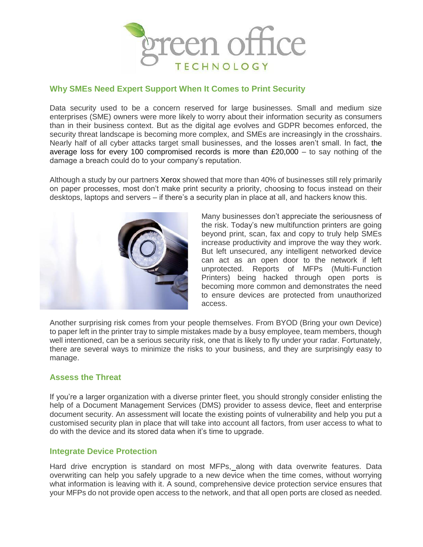

## **Why SMEs Need Expert Support When It Comes to Print Security**

Data security used to be a concern reserved for large businesses. Small and medium size enterprises (SME) owners were more likely to worry about their information security as consumers than in their business context. But as the digital age evolves and GDPR becomes enforced, the security threat landscape is becoming more complex, and SMEs are increasingly in the crosshairs. Nearly half of all cyber attacks target small businesses, and the losses aren't small. In fact, the average loss for every 100 compromised records is more than £20,000 – to say nothing of the damage a breach could do to your company's reputation.

Although a study by our partners Xerox showed that more than 40% of businesses still rely primarily on paper processes, most don't make print security a priority, choosing to focus instead on their desktops, laptops and servers – if there's a security plan in place at all, and hackers know this.



Many businesses don't appreciate the seriousness of the risk. Today's new multifunction printers are going beyond print, scan, fax and copy to truly help SMEs increase productivity and improve the way they work. But left unsecured, any intelligent networked device can act as an open door to the network if left unprotected. Reports of MFPs (Multi-Function Printers) being hacked through open ports is becoming more common and demonstrates the need to ensure devices are protected from unauthorized access.

Another surprising risk comes from your people themselves. From BYOD (Bring your own Device) to paper left in the printer tray to simple mistakes made by a busy employee, team members, though well intentioned, can be a serious security risk, one that is likely to fly under your radar. Fortunately, there are several ways to minimize the risks to your business, and they are surprisingly easy to manage.

# **Assess the Threat**

If you're a larger organization with a diverse printer fleet, you should strongly consider enlisting the help of a Document Management Services (DMS) provider to assess device, fleet and enterprise document security. An assessment will locate the existing points of vulnerability and help you put a customised security plan in place that will take into account all factors, from user access to what to do with the device and its stored data when it's time to upgrade.

### **Integrate Device Protection**

Hard drive encryption is standard on most MFPs, along with data overwrite features. Data overwriting can help you safely upgrade to a new device when the time comes, without worrying what information is leaving with it. A sound, comprehensive device protection service ensures that your MFPs do not provide open access to the network, and that all open ports are closed as needed.